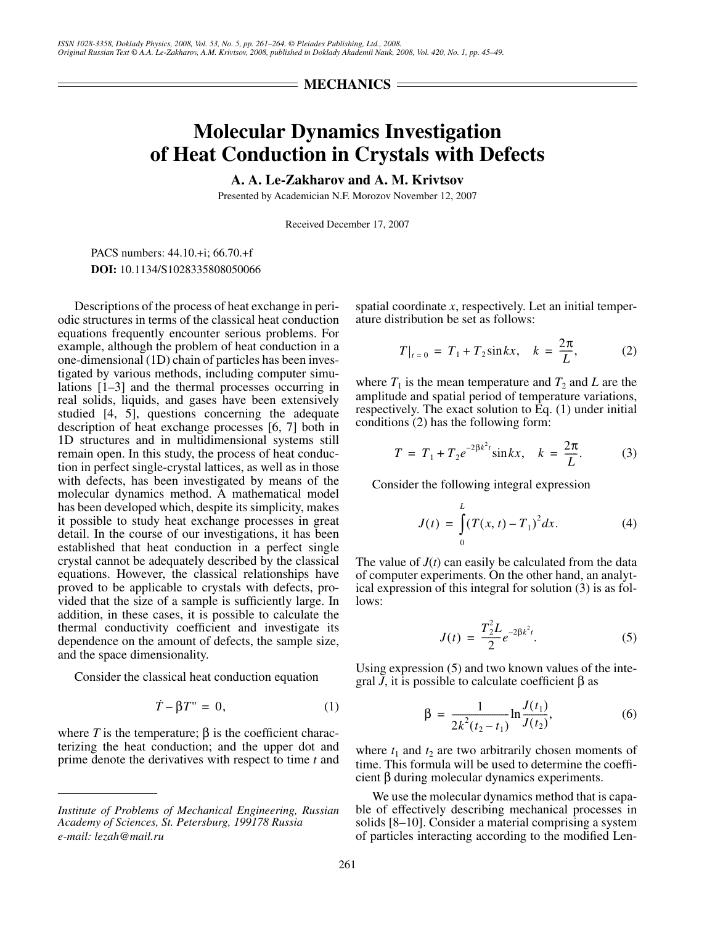## $=$  **MECHANICS**  $=$

## **Molecular Dynamics Investigation of Heat Conduction in Crystals with Defects**

**A. A. Le-Zakharov and A. M. Krivtsov**

Presented by Academician N.F. Morozov November 12, 2007

Received December 17, 2007

PACS numbers: 44.10.+i; 66.70.+f **DOI:** 10.1134/S1028335808050066

Descriptions of the process of heat exchange in periodic structures in terms of the classical heat conduction equations frequently encounter serious problems. For example, although the problem of heat conduction in a one-dimensional (1D) chain of particles has been investigated by various methods, including computer simulations [1–3] and the thermal processes occurring in real solids, liquids, and gases have been extensively studied [4, 5], questions concerning the adequate description of heat exchange processes [6, 7] both in 1D structures and in multidimensional systems still remain open. In this study, the process of heat conduction in perfect single-crystal lattices, as well as in those with defects, has been investigated by means of the molecular dynamics method. A mathematical model has been developed which, despite its simplicity, makes it possible to study heat exchange processes in great detail. In the course of our investigations, it has been established that heat conduction in a perfect single crystal cannot be adequately described by the classical equations. However, the classical relationships have proved to be applicable to crystals with defects, provided that the size of a sample is sufficiently large. In addition, in these cases, it is possible to calculate the thermal conductivity coefficient and investigate its dependence on the amount of defects, the sample size, and the space dimensionality.

Consider the classical heat conduction equation

$$
\dot{T} - \beta T'' = 0, \tag{1}
$$

where *T* is the temperature;  $\beta$  is the coefficient characterizing the heat conduction; and the upper dot and prime denote the derivatives with respect to time *t* and spatial coordinate *x*, respectively. Let an initial temperature distribution be set as follows:

$$
T|_{t=0} = T_1 + T_2 \sin kx, \quad k = \frac{2\pi}{L}, \quad (2)
$$

where  $T_1$  is the mean temperature and  $T_2$  and  $L$  are the amplitude and spatial period of temperature variations, respectively. The exact solution to Eq. (1) under initial conditions (2) has the following form:

$$
T = T_1 + T_2 e^{-2\beta k^2 t} \sin kx, \quad k = \frac{2\pi}{L}.
$$
 (3)

Consider the following integral expression

$$
J(t) = \int_{0}^{L} (T(x, t) - T_1)^2 dx.
$$
 (4)

The value of  $J(t)$  can easily be calculated from the data of computer experiments. On the other hand, an analytical expression of this integral for solution (3) is as follows:

$$
J(t) = \frac{T_2^2 L}{2} e^{-2\beta k^2 t}.
$$
 (5)

Using expression (5) and two known values of the integral  $\overline{J}$ , it is possible to calculate coefficient  $\beta$  as

$$
\beta = \frac{1}{2k^2(t_2 - t_1)} \ln \frac{J(t_1)}{J(t_2)},
$$
\n(6)

where  $t_1$  and  $t_2$  are two arbitrarily chosen moments of time. This formula will be used to determine the coefficient β during molecular dynamics experiments.

We use the molecular dynamics method that is capable of effectively describing mechanical processes in solids [8–10]. Consider a material comprising a system of particles interacting according to the modified Len-

*Institute of Problems of Mechanical Engineering, Russian Academy of Sciences, St. Petersburg, 199178 Russia e-mail: lezah@mail.ru*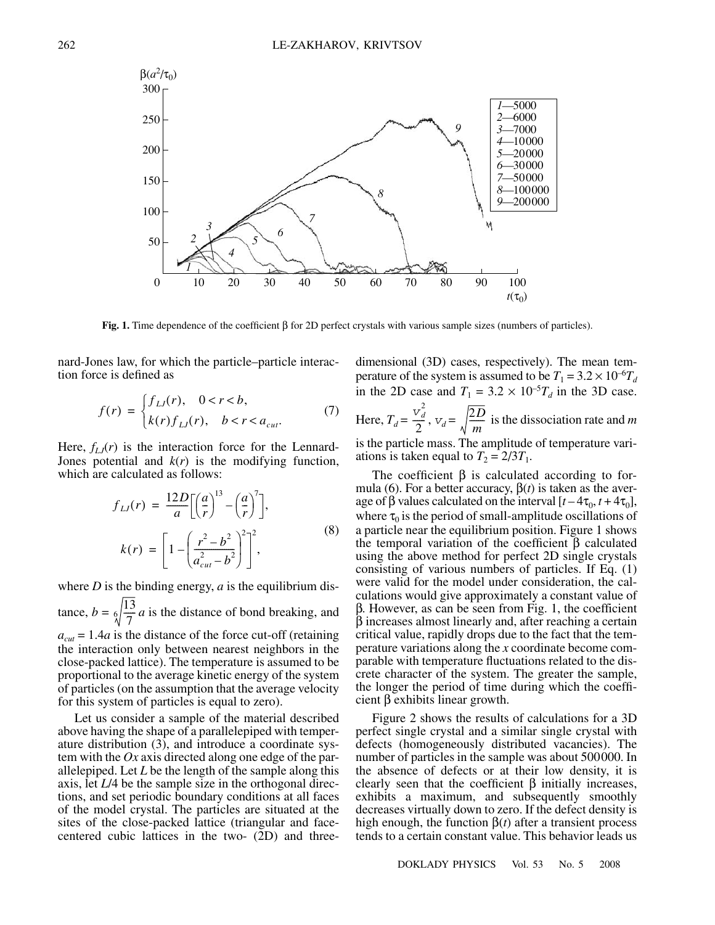

**Fig. 1.** Time dependence of the coefficient β for 2D perfect crystals with various sample sizes (numbers of particles).

nard-Jones law, for which the particle–particle interaction force is defined as

$$
f(r) = \begin{cases} f_{LJ}(r), & 0 < r < b, \\ k(r) f_{LJ}(r), & b < r < a_{cut}. \end{cases}
$$
 (7)

Here,  $f_{LJ}(r)$  is the interaction force for the Lennard-Jones potential and  $k(r)$  is the modifying function, which are calculated as follows:

$$
f_{LJ}(r) = \frac{12D}{a} \left[ \left(\frac{a}{r}\right)^{13} - \left(\frac{a}{r}\right)^7 \right],
$$
  
\n
$$
k(r) = \left[ 1 - \left(\frac{r^2 - b^2}{a_{cut}^2 - b^2}\right)^2 \right]^2,
$$
\n(8)

where  $D$  is the binding energy,  $a$  is the equilibrium dis-

tance,  $b = \frac{6}{\sqrt{7}} a$  is the distance of bond breaking, and

 $a_{cut} = 1.4a$  is the distance of the force cut-off (retaining the interaction only between nearest neighbors in the close-packed lattice). The temperature is assumed to be proportional to the average kinetic energy of the system of particles (on the assumption that the average velocity for this system of particles is equal to zero).

Let us consider a sample of the material described above having the shape of a parallelepiped with temperature distribution  $(3)$ , and introduce a coordinate system with the *Ox* axis directed along one edge of the parallelepiped. Let *L* be the length of the sample along this axis, let *L*/4 be the sample size in the orthogonal directions, and set periodic boundary conditions at all faces of the model crystal. The particles are situated at the sites of the close-packed lattice (triangular and facecentered cubic lattices in the two- (2D) and threedimensional (3D) cases, respectively). The mean temperature of the system is assumed to be  $T_1 = 3.2 \times 10^{-6} T_d$ in the 2D case and  $T_1 = 3.2 \times 10^{-5} T_d$  in the 3D case.

Here,  $T_d = \frac{v_d^2}{2}$ ,  $v_d = \sqrt{\frac{2D}{m}}$  is the dissociation rate and *m* is the particle mass. The amplitude of temperature variations is taken equal to  $T_2 = 2/3T_1$ .  $\frac{\overline{v}_d^2}{2}$ ,  $\overline{v}_d = \sqrt{\frac{2D}{m}}$ 

The coefficient  $\beta$  is calculated according to formula (6). For a better accuracy,  $\beta(t)$  is taken as the average of  $\beta$  values calculated on the interval  $[t-4\tau_0, t+4\tau_0]$ , where  $\tau_0$  is the period of small-amplitude oscillations of a particle near the equilibrium position. Figure 1 shows the temporal variation of the coefficient  $β$  calculated using the above method for perfect 2D single crystals consisting of various numbers of particles. If Eq. (1) were valid for the model under consideration, the calculations would give approximately a constant value of β. However, as can be seen from Fig. 1, the coefficient β increases almost linearly and, after reaching a certain critical value, rapidly drops due to the fact that the temperature variations along the *x* coordinate become comparable with temperature fluctuations related to the discrete character of the system. The greater the sample, the longer the period of time during which the coefficient β exhibits linear growth.

Figure 2 shows the results of calculations for a 3D perfect single crystal and a similar single crystal with defects (homogeneously distributed vacancies). The number of particles in the sample was about 500000. In the absence of defects or at their low density, it is clearly seen that the coefficient  $\beta$  initially increases, exhibits a maximum, and subsequently smoothly decreases virtually down to zero. If the defect density is high enough, the function  $\beta(t)$  after a transient process tends to a certain constant value. This behavior leads us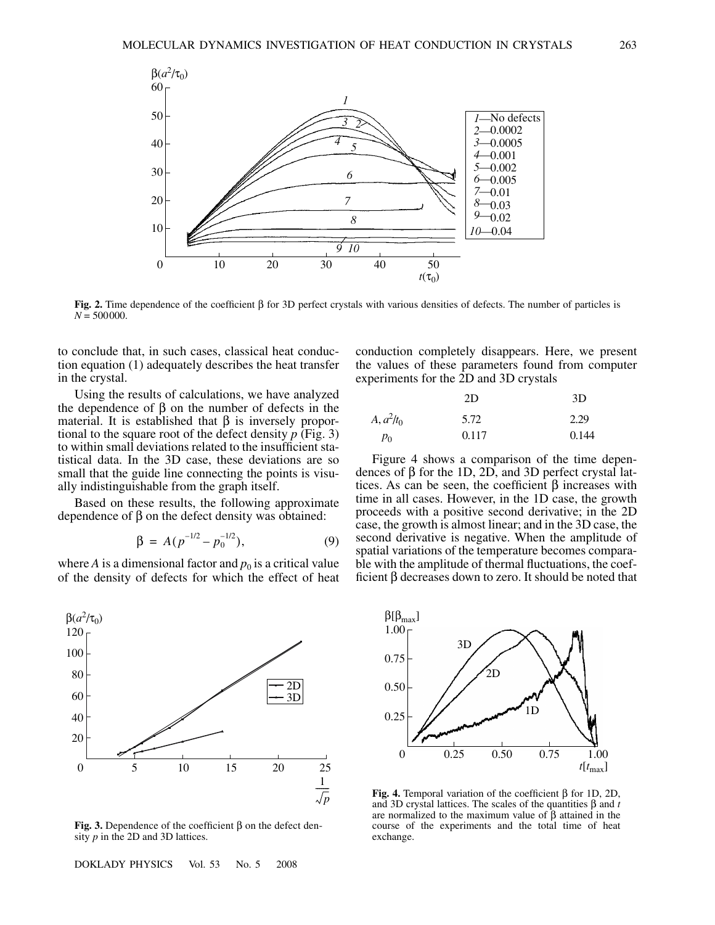

**Fig. 2.** Time dependence of the coefficient β for 3D perfect crystals with various densities of defects. The number of particles is  $N = 500000$ .

to conclude that, in such cases, classical heat conduction equation (1) adequately describes the heat transfer in the crystal.

Using the results of calculations, we have analyzed the dependence of β on the number of defects in the material. It is established that  $\beta$  is inversely proportional to the square root of the defect density *p* (Fig. 3) to within small deviations related to the insufficient statistical data. In the 3D case, these deviations are so small that the guide line connecting the points is visually indistinguishable from the graph itself.

Based on these results, the following approximate dependence of β on the defect density was obtained:

$$
\beta = A(p^{-1/2} - p_0^{-1/2}), \qquad (9)
$$

where *A* is a dimensional factor and  $p_0$  is a critical value of the density of defects for which the effect of heat



**Fig. 3.** Dependence of the coefficient β on the defect density *p* in the 2D and 3D lattices.

DOKLADY PHYSICS Vol. 53 No. 5 2008

conduction completely disappears. Here, we present the values of these parameters found from computer experiments for the 2D and 3D crystals

|              | 2D    | 3D    |
|--------------|-------|-------|
| $A, a^2/t_0$ | 5.72  | 2.29  |
| $p_0$        | 0.117 | 0.144 |

Figure 4 shows a comparison of the time dependences of β for the 1D, 2D, and 3D perfect crystal lattices. As can be seen, the coefficient  $\beta$  increases with time in all cases. However, in the 1D case, the growth proceeds with a positive second derivative; in the 2D case, the growth is almost linear; and in the 3D case, the second derivative is negative. When the amplitude of spatial variations of the temperature becomes comparable with the amplitude of thermal fluctuations, the coefficient β decreases down to zero. It should be noted that



**Fig. 4.** Temporal variation of the coefficient β for 1D, 2D, and 3D crystal lattices. The scales of the quantities β and *t* are normalized to the maximum value of β attained in the course of the experiments and the total time of heat exchange.